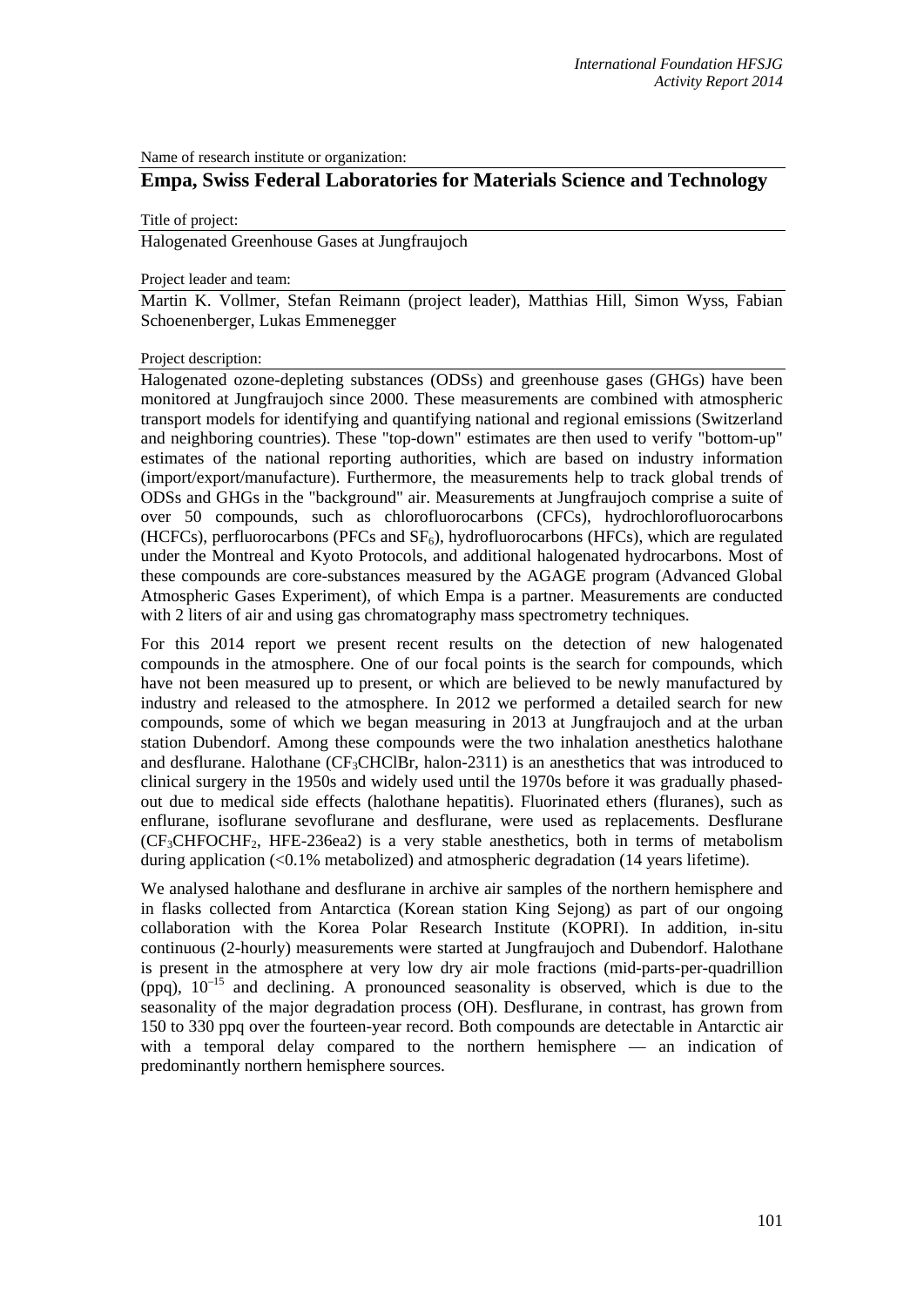Name of research institute or organization:

# **Empa, Swiss Federal Laboratories for Materials Science and Technology**

### Title of project:

Halogenated Greenhouse Gases at Jungfraujoch

### Project leader and team:

Martin K. Vollmer, Stefan Reimann (project leader), Matthias Hill, Simon Wyss, Fabian Schoenenberger, Lukas Emmenegger

## Project description:

Halogenated ozone-depleting substances (ODSs) and greenhouse gases (GHGs) have been monitored at Jungfraujoch since 2000. These measurements are combined with atmospheric transport models for identifying and quantifying national and regional emissions (Switzerland and neighboring countries). These "top-down" estimates are then used to verify "bottom-up" estimates of the national reporting authorities, which are based on industry information (import/export/manufacture). Furthermore, the measurements help to track global trends of ODSs and GHGs in the "background" air. Measurements at Jungfraujoch comprise a suite of over 50 compounds, such as chlorofluorocarbons (CFCs), hydrochlorofluorocarbons (HCFCs), perfluorocarbons (PFCs and  $SF<sub>6</sub>$ ), hydrofluorocarbons (HFCs), which are regulated under the Montreal and Kyoto Protocols, and additional halogenated hydrocarbons. Most of these compounds are core-substances measured by the AGAGE program (Advanced Global Atmospheric Gases Experiment), of which Empa is a partner. Measurements are conducted with 2 liters of air and using gas chromatography mass spectrometry techniques.

For this 2014 report we present recent results on the detection of new halogenated compounds in the atmosphere. One of our focal points is the search for compounds, which have not been measured up to present, or which are believed to be newly manufactured by industry and released to the atmosphere. In 2012 we performed a detailed search for new compounds, some of which we began measuring in 2013 at Jungfraujoch and at the urban station Dubendorf. Among these compounds were the two inhalation anesthetics halothane and desflurane. Halothane  $(CF_3CHClBr, \text{halon-}2311)$  is an anesthetics that was introduced to clinical surgery in the 1950s and widely used until the 1970s before it was gradually phasedout due to medical side effects (halothane hepatitis). Fluorinated ethers (fluranes), such as enflurane, isoflurane sevoflurane and desflurane, were used as replacements. Desflurane  $(CF<sub>3</sub>CHFOCHF<sub>2</sub>$ , HFE-236ea2) is a very stable anesthetics, both in terms of metabolism during application  $\langle 0.1\%$  metabolized) and atmospheric degradation (14 years lifetime).

We analysed halothane and desflurane in archive air samples of the northern hemisphere and in flasks collected from Antarctica (Korean station King Sejong) as part of our ongoing collaboration with the Korea Polar Research Institute (KOPRI). In addition, in-situ continuous (2-hourly) measurements were started at Jungfraujoch and Dubendorf. Halothane is present in the atmosphere at very low dry air mole fractions (mid-parts-per-quadrillion  $(ppq)$ ,  $10^{-15}$  and declining. A pronounced seasonality is observed, which is due to the seasonality of the major degradation process (OH). Desflurane, in contrast, has grown from 150 to 330 ppq over the fourteen-year record. Both compounds are detectable in Antarctic air with a temporal delay compared to the northern hemisphere — an indication of predominantly northern hemisphere sources.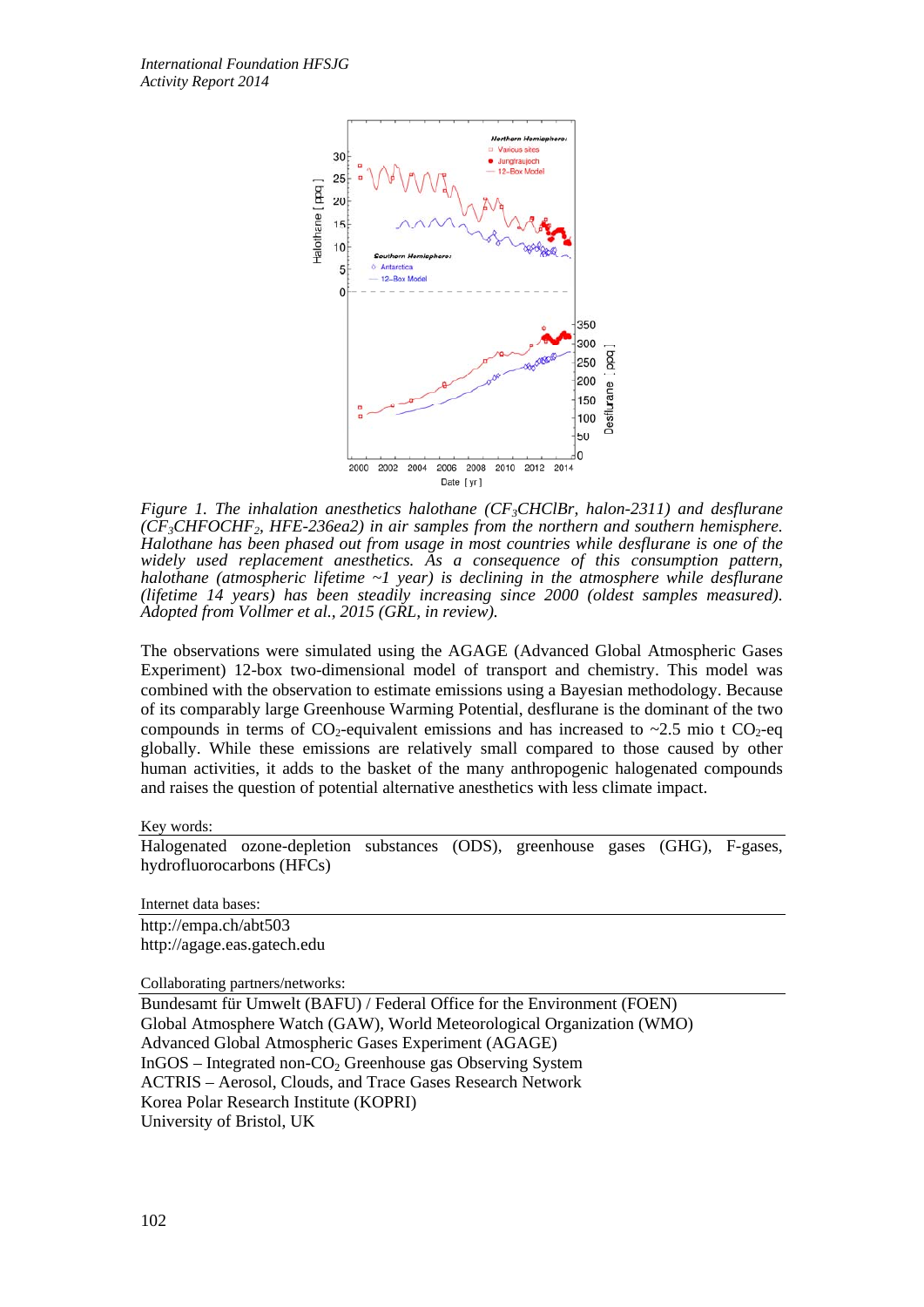

*Figure 1. The inhalation anesthetics halothane (CF<sub>3</sub>CHClBr, halon-2311) and desflurane (CF3CHFOCHF2, HFE-236ea2) in air samples from the northern and southern hemisphere. Halothane has been phased out from usage in most countries while desflurane is one of the widely used replacement anesthetics. As a consequence of this consumption pattern, halothane (atmospheric lifetime ~1 year) is declining in the atmosphere while desflurane (lifetime 14 years) has been steadily increasing since 2000 (oldest samples measured). Adopted from Vollmer et al., 2015 (GRL, in review).*

The observations were simulated using the AGAGE (Advanced Global Atmospheric Gases Experiment) 12-box two-dimensional model of transport and chemistry. This model was combined with the observation to estimate emissions using a Bayesian methodology. Because of its comparably large Greenhouse Warming Potential, desflurane is the dominant of the two compounds in terms of  $CO_2$ -equivalent emissions and has increased to  $\sim$ 2.5 mio t  $CO_2$ -eq globally. While these emissions are relatively small compared to those caused by other human activities, it adds to the basket of the many anthropogenic halogenated compounds and raises the question of potential alternative anesthetics with less climate impact.

Key words:

Halogenated ozone-depletion substances (ODS), greenhouse gases (GHG), F-gases, hydrofluorocarbons (HFCs)

Internet data bases:

http://empa.ch/abt503 http://agage.eas.gatech.edu

Collaborating partners/networks:

Bundesamt für Umwelt (BAFU) / Federal Office for the Environment (FOEN) Global Atmosphere Watch (GAW), World Meteorological Organization (WMO) Advanced Global Atmospheric Gases Experiment (AGAGE) InGOS – Integrated non-CO<sub>2</sub> Greenhouse gas Observing System ACTRIS – Aerosol, Clouds, and Trace Gases Research Network Korea Polar Research Institute (KOPRI) University of Bristol, UK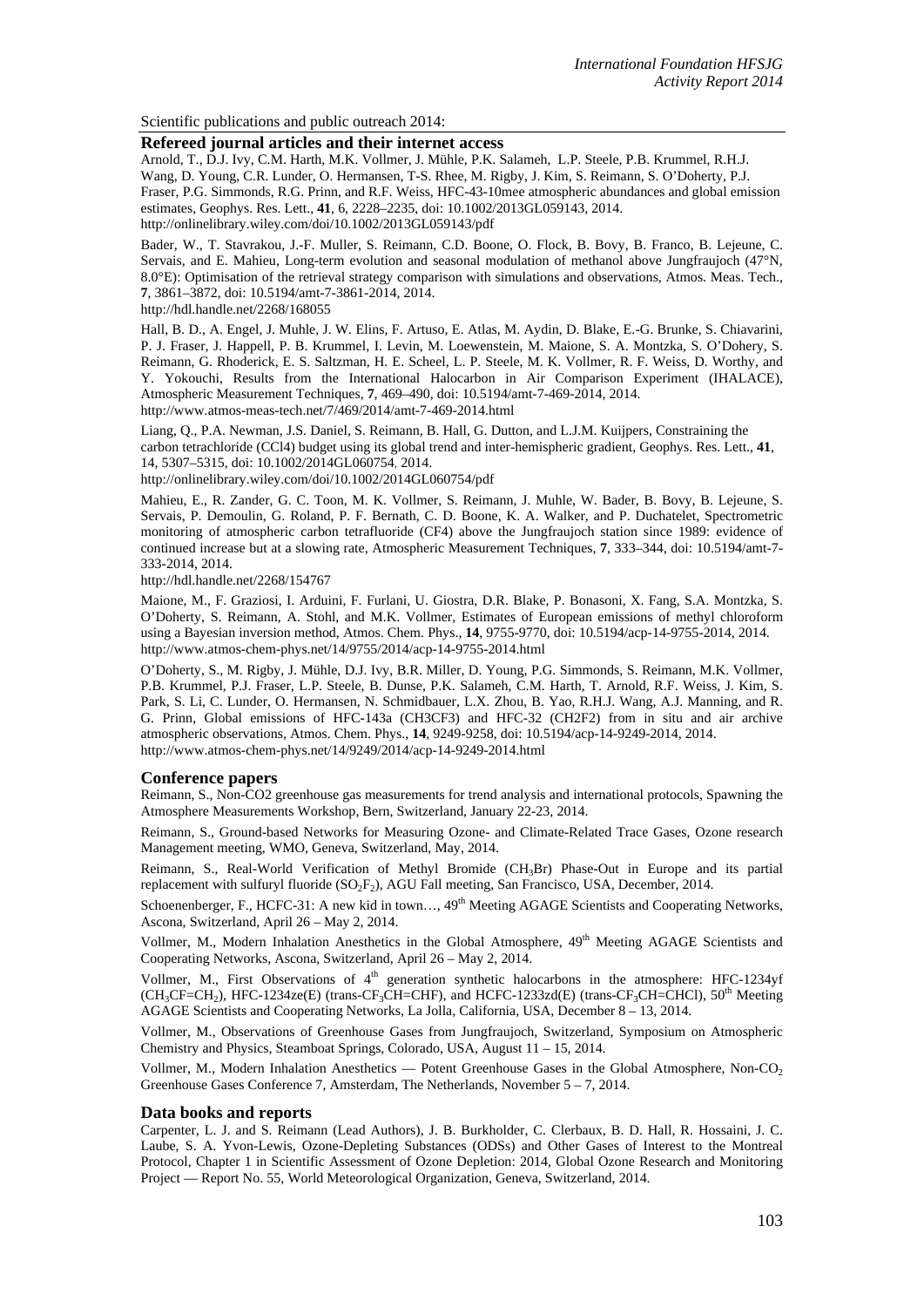Scientific publications and public outreach 2014:

### **Refereed journal articles and their internet access**

Arnold, T., D.J. Ivy, C.M. Harth, M.K. Vollmer, J. Mühle, P.K. Salameh, L.P. Steele, P.B. Krummel, R.H.J. Wang, D. Young, C.R. Lunder, O. Hermansen, T-S. Rhee, M. Rigby, J. Kim, S. Reimann, S. O'Doherty, P.J. Fraser, P.G. Simmonds, R.G. Prinn, and R.F. Weiss, HFC-43-10mee atmospheric abundances and global emission estimates, Geophys. Res. Lett., **41**, 6, 2228–2235, doi: 10.1002/2013GL059143, 2014. http://onlinelibrary.wiley.com/doi/10.1002/2013GL059143/pdf

Bader, W., T. Stavrakou, J.-F. Muller, S. Reimann, C.D. Boone, O. Flock, B. Bovy, B. Franco, B. Lejeune, C. Servais, and E. Mahieu, Long-term evolution and seasonal modulation of methanol above Jungfraujoch (47°N, 8.0°E): Optimisation of the retrieval strategy comparison with simulations and observations, Atmos. Meas. Tech., **7**, 3861–3872, doi: 10.5194/amt-7-3861-2014, 2014.

http://hdl.handle.net/2268/168055

Hall, B. D., A. Engel, J. Muhle, J. W. Elins, F. Artuso, E. Atlas, M. Aydin, D. Blake, E.-G. Brunke, S. Chiavarini, P. J. Fraser, J. Happell, P. B. Krummel, I. Levin, M. Loewenstein, M. Maione, S. A. Montzka, S. O'Dohery, S. Reimann, G. Rhoderick, E. S. Saltzman, H. E. Scheel, L. P. Steele, M. K. Vollmer, R. F. Weiss, D. Worthy, and Y. Yokouchi, Results from the International Halocarbon in Air Comparison Experiment (IHALACE), Atmospheric Measurement Techniques, **7**, 469–490, doi: 10.5194/amt-7-469-2014, 2014. http://www.atmos-meas-tech.net/7/469/2014/amt-7-469-2014.html

Liang, Q., P.A. Newman, J.S. Daniel, S. Reimann, B. Hall, G. Dutton, and L.J.M. Kuijpers, Constraining the carbon tetrachloride (CCl4) budget using its global trend and inter-hemispheric gradient, Geophys. Res. Lett., **41**, 14, 5307–5315, doi: 10.1002/2014GL060754, 2014.

http://onlinelibrary.wiley.com/doi/10.1002/2014GL060754/pdf

Mahieu, E., R. Zander, G. C. Toon, M. K. Vollmer, S. Reimann, J. Muhle, W. Bader, B. Bovy, B. Lejeune, S. Servais, P. Demoulin, G. Roland, P. F. Bernath, C. D. Boone, K. A. Walker, and P. Duchatelet, Spectrometric monitoring of atmospheric carbon tetrafluoride (CF4) above the Jungfraujoch station since 1989: evidence of continued increase but at a slowing rate, Atmospheric Measurement Techniques, **7**, 333–344, doi: 10.5194/amt-7- 333-2014, 2014.

http://hdl.handle.net/2268/154767

Maione, M., F. Graziosi, I. Arduini, F. Furlani, U. Giostra, D.R. Blake, P. Bonasoni, X. Fang, S.A. Montzka, S. O'Doherty, S. Reimann, A. Stohl, and M.K. Vollmer, Estimates of European emissions of methyl chloroform using a Bayesian inversion method, Atmos. Chem. Phys., **14**, 9755-9770, doi: 10.5194/acp-14-9755-2014, 2014. http://www.atmos-chem-phys.net/14/9755/2014/acp-14-9755-2014.html

O'Doherty, S., M. Rigby, J. Mühle, D.J. Ivy, B.R. Miller, D. Young, P.G. Simmonds, S. Reimann, M.K. Vollmer, P.B. Krummel, P.J. Fraser, L.P. Steele, B. Dunse, P.K. Salameh, C.M. Harth, T. Arnold, R.F. Weiss, J. Kim, S. Park, S. Li, C. Lunder, O. Hermansen, N. Schmidbauer, L.X. Zhou, B. Yao, R.H.J. Wang, A.J. Manning, and R. G. Prinn, Global emissions of HFC-143a (CH3CF3) and HFC-32 (CH2F2) from in situ and air archive atmospheric observations, Atmos. Chem. Phys., **14**, 9249-9258, doi: 10.5194/acp-14-9249-2014, 2014. http://www.atmos-chem-phys.net/14/9249/2014/acp-14-9249-2014.html

#### **Conference papers**

Reimann, S., Non-CO2 greenhouse gas measurements for trend analysis and international protocols, Spawning the Atmosphere Measurements Workshop, Bern, Switzerland, January 22-23, 2014.

Reimann, S., Ground-based Networks for Measuring Ozone- and Climate-Related Trace Gases, Ozone research Management meeting, WMO, Geneva, Switzerland, May, 2014.

Reimann, S., Real-World Verification of Methyl Bromide (CH3Br) Phase-Out in Europe and its partial replacement with sulfuryl fluoride  $(SO<sub>2</sub>F<sub>2</sub>)$ , AGU Fall meeting, San Francisco, USA, December, 2014.

Schoenenberger, F., HCFC-31: A new kid in town...,  $49<sup>th</sup>$  Meeting AGAGE Scientists and Cooperating Networks, Ascona, Switzerland, April 26 – May 2, 2014.

Vollmer, M., Modern Inhalation Anesthetics in the Global Atmosphere, 49<sup>th</sup> Meeting AGAGE Scientists and Cooperating Networks, Ascona, Switzerland, April 26 – May 2, 2014.

Vollmer, M., First Observations of  $4<sup>th</sup>$  generation synthetic halocarbons in the atmosphere: HFC-1234yf  $(CH_3CF=CH_2)$ , HFC-1234ze(E) (trans-CF<sub>3</sub>CH=CHF), and HCFC-1233zd(E) (trans-CF<sub>3</sub>CH=CHCl), 50<sup>th</sup> Meeting AGAGE Scientists and Cooperating Networks, La Jolla, California, USA, December 8 – 13, 2014.

Vollmer, M., Observations of Greenhouse Gases from Jungfraujoch, Switzerland, Symposium on Atmospheric Chemistry and Physics, Steamboat Springs, Colorado, USA, August 11 – 15, 2014.

Vollmer, M., Modern Inhalation Anesthetics — Potent Greenhouse Gases in the Global Atmosphere, Non-CO<sub>2</sub> Greenhouse Gases Conference 7, Amsterdam, The Netherlands, November 5 – 7, 2014.

#### **Data books and reports**

Carpenter, L. J. and S. Reimann (Lead Authors), J. B. Burkholder, C. Clerbaux, B. D. Hall, R. Hossaini, J. C. Laube, S. A. Yvon-Lewis, Ozone-Depleting Substances (ODSs) and Other Gases of Interest to the Montreal Protocol, Chapter 1 in Scientific Assessment of Ozone Depletion: 2014, Global Ozone Research and Monitoring Project — Report No. 55, World Meteorological Organization, Geneva, Switzerland, 2014.